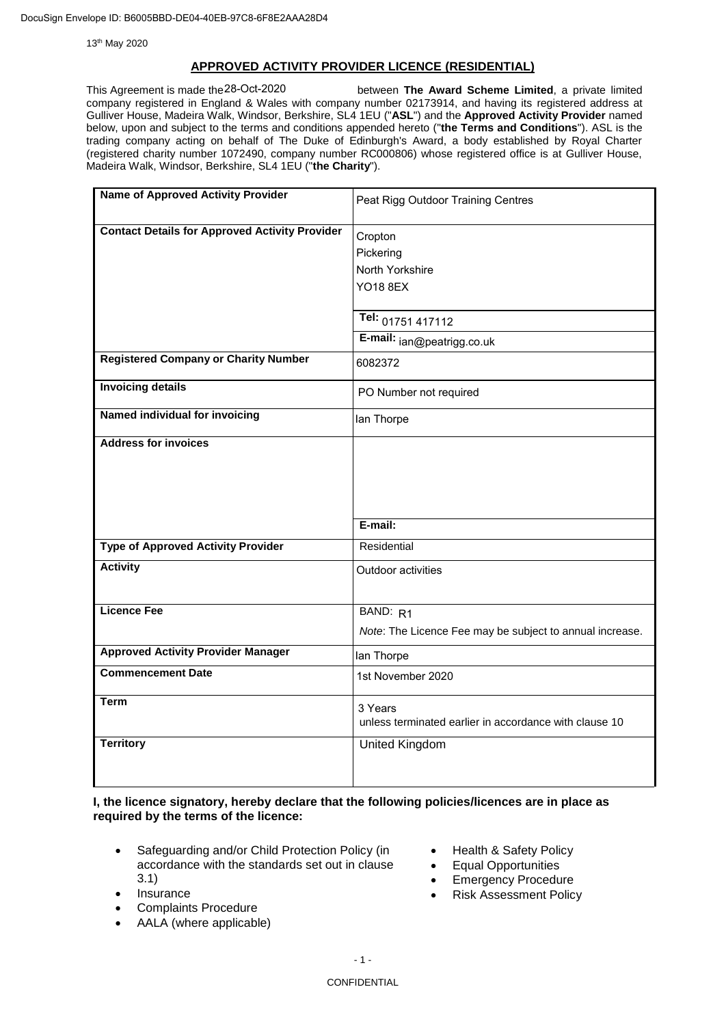13th May 2020

### **APPROVED ACTIVITY PROVIDER LICENCE (RESIDENTIAL)**

between The Award Scheme Limited, a private limited company registered in England & Wales with company number 02173914, and having its registered address at Gulliver House, Madeira Walk, Windsor, Berkshire, SL4 1EU ("**ASL**") and the **Approved Activity Provider** named below, upon and subject to the terms and conditions appended hereto ("**the Terms and Conditions**"). ASL is the trading company acting on behalf of The Duke of Edinburgh's Award, a body established by Royal Charter (registered charity number 1072490, company number RC000806) whose registered office is at Gulliver House, Madeira Walk, Windsor, Berkshire, SL4 1EU ("**the Charity**"). This Agreement is made the 28-Oct-2020

| <b>Name of Approved Activity Provider</b>             | Peat Rigg Outdoor Training Centres                       |
|-------------------------------------------------------|----------------------------------------------------------|
| <b>Contact Details for Approved Activity Provider</b> | Cropton                                                  |
|                                                       | Pickering                                                |
|                                                       | North Yorkshire                                          |
|                                                       | <b>YO18 8EX</b>                                          |
|                                                       |                                                          |
|                                                       | Tel: 01751 417112                                        |
|                                                       | E-mail: jan@peatrigg.co.uk                               |
| <b>Registered Company or Charity Number</b>           | 6082372                                                  |
| <b>Invoicing details</b>                              | PO Number not required                                   |
| Named individual for invoicing                        | lan Thorpe                                               |
| <b>Address for invoices</b>                           |                                                          |
|                                                       |                                                          |
|                                                       |                                                          |
|                                                       |                                                          |
|                                                       | E-mail:                                                  |
| <b>Type of Approved Activity Provider</b>             | Residential                                              |
|                                                       |                                                          |
| <b>Activity</b>                                       | Outdoor activities                                       |
|                                                       |                                                          |
| <b>Licence Fee</b>                                    | BAND: R1                                                 |
|                                                       | Note: The Licence Fee may be subject to annual increase. |
| <b>Approved Activity Provider Manager</b>             | lan Thorpe                                               |
| <b>Commencement Date</b>                              | 1st November 2020                                        |
| <b>Term</b>                                           | 3 Years                                                  |
|                                                       | unless terminated earlier in accordance with clause 10   |
| <b>Territory</b>                                      | <b>United Kingdom</b>                                    |
|                                                       |                                                          |

**I, the licence signatory, hereby declare that the following policies/licences are in place as required by the terms of the licence:**

- Safeguarding and/or Child Protection Policy (in accordance with the standards set out in clause 3.1)
- Insurance
- Complaints Procedure
- AALA (where applicable)
- Health & Safety Policy
- Equal Opportunities
- Emergency Procedure
- Risk Assessment Policy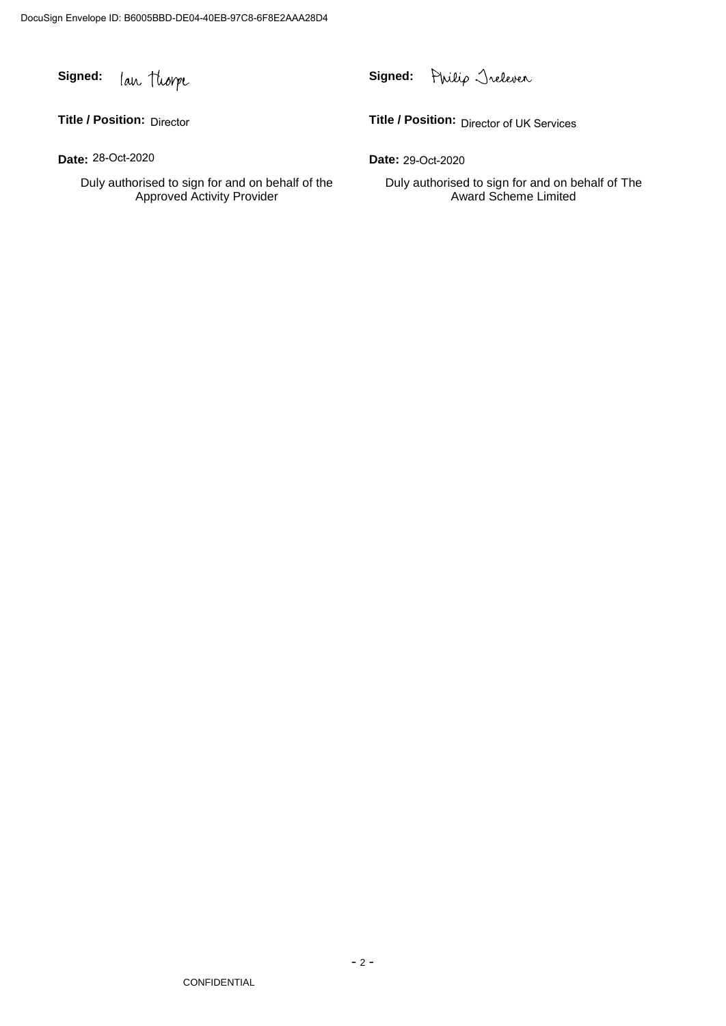**Signed: Signed:**

**Title / Position: Title / Position:** Director

**Date: Date:** 28-Oct-2020

Duly authorised to sign for and on behalf of the Approved Activity Provider

Philip Trelever

Title / Position: Director of UK Services

Date: 29-Oct-2020

Duly authorised to sign for and on behalf of The Award Scheme Limited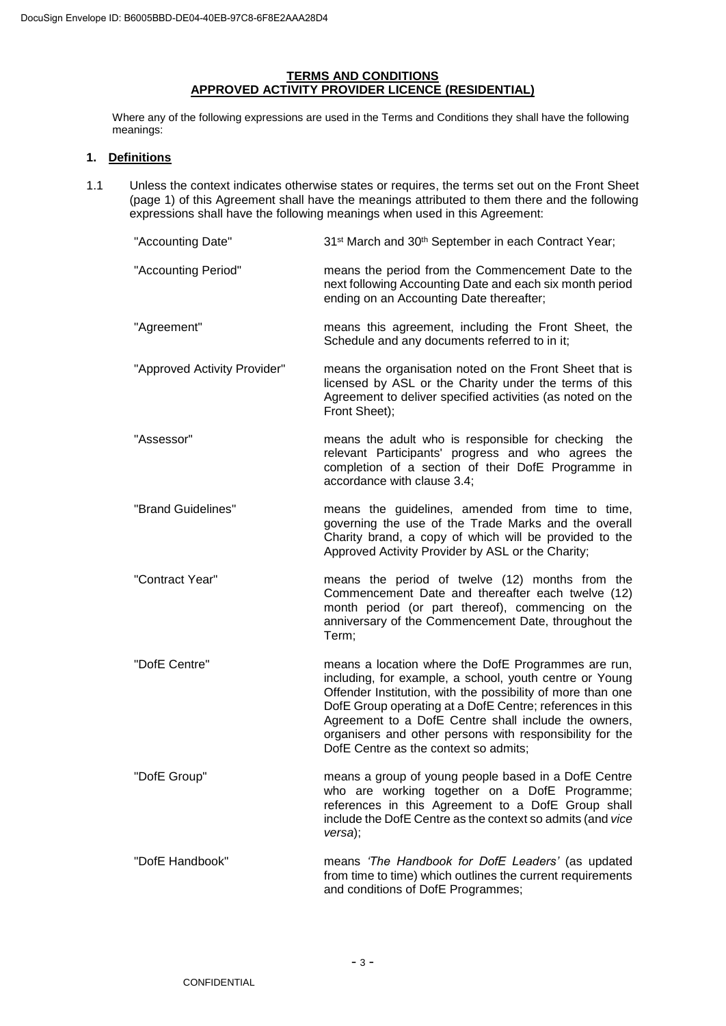# **TERMS AND CONDITIONS APPROVED ACTIVITY PROVIDER LICENCE (RESIDENTIAL)**

Where any of the following expressions are used in the Terms and Conditions they shall have the following meanings:

# **1. Definitions**

1.1 Unless the context indicates otherwise states or requires, the terms set out on the Front Sheet (page 1) of this Agreement shall have the meanings attributed to them there and the following expressions shall have the following meanings when used in this Agreement:

| "Accounting Date"            | 31 <sup>st</sup> March and 30 <sup>th</sup> September in each Contract Year;                                                                                                                                                                                                                                                                                                                            |
|------------------------------|---------------------------------------------------------------------------------------------------------------------------------------------------------------------------------------------------------------------------------------------------------------------------------------------------------------------------------------------------------------------------------------------------------|
| "Accounting Period"          | means the period from the Commencement Date to the<br>next following Accounting Date and each six month period<br>ending on an Accounting Date thereafter;                                                                                                                                                                                                                                              |
| "Agreement"                  | means this agreement, including the Front Sheet, the<br>Schedule and any documents referred to in it;                                                                                                                                                                                                                                                                                                   |
| "Approved Activity Provider" | means the organisation noted on the Front Sheet that is<br>licensed by ASL or the Charity under the terms of this<br>Agreement to deliver specified activities (as noted on the<br>Front Sheet);                                                                                                                                                                                                        |
| "Assessor"                   | means the adult who is responsible for checking the<br>relevant Participants' progress and who agrees the<br>completion of a section of their DofE Programme in<br>accordance with clause 3.4;                                                                                                                                                                                                          |
| "Brand Guidelines"           | means the guidelines, amended from time to time,<br>governing the use of the Trade Marks and the overall<br>Charity brand, a copy of which will be provided to the<br>Approved Activity Provider by ASL or the Charity;                                                                                                                                                                                 |
| "Contract Year"              | means the period of twelve (12) months from the<br>Commencement Date and thereafter each twelve (12)<br>month period (or part thereof), commencing on the<br>anniversary of the Commencement Date, throughout the<br>Term;                                                                                                                                                                              |
| "DofE Centre"                | means a location where the DofE Programmes are run,<br>including, for example, a school, youth centre or Young<br>Offender Institution, with the possibility of more than one<br>DofE Group operating at a DofE Centre; references in this<br>Agreement to a DofE Centre shall include the owners,<br>organisers and other persons with responsibility for the<br>DofE Centre as the context so admits; |
| "DofE Group"                 | means a group of young people based in a DofE Centre<br>who are working together on a DofE Programme;<br>references in this Agreement to a DofE Group shall<br>include the DofE Centre as the context so admits (and vice<br>versa);                                                                                                                                                                    |
| "DofE Handbook"              | means 'The Handbook for DofE Leaders' (as updated<br>from time to time) which outlines the current requirements<br>and conditions of DofE Programmes;                                                                                                                                                                                                                                                   |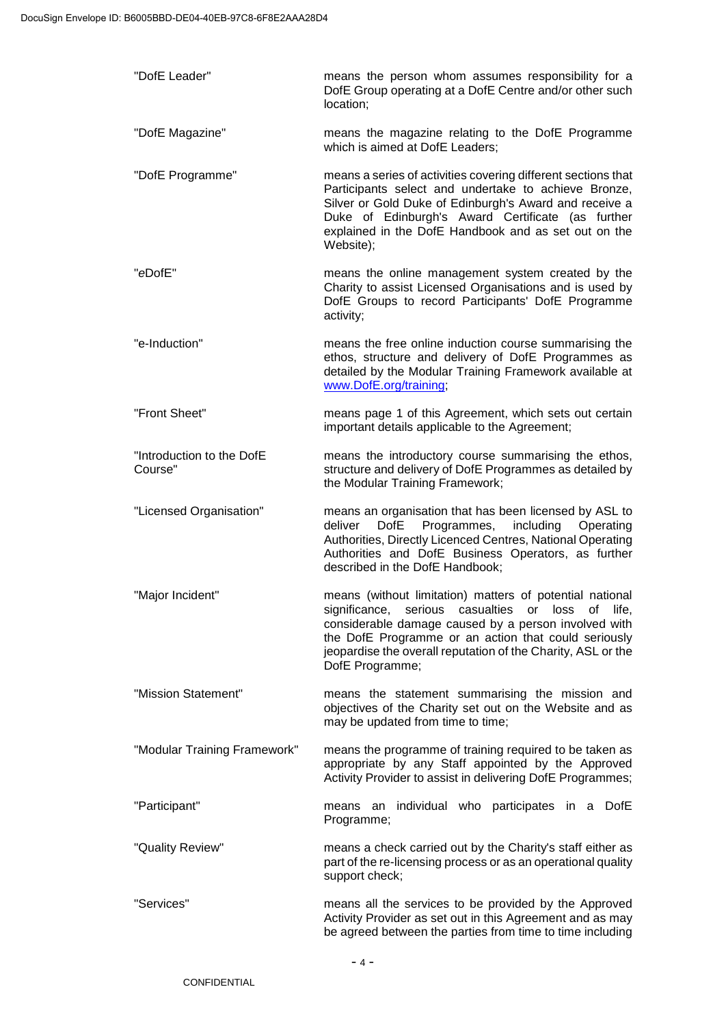| "DofE Leader"                        | means the person whom assumes responsibility for a<br>DofE Group operating at a DofE Centre and/or other such<br>location;                                                                                                                                                                                       |
|--------------------------------------|------------------------------------------------------------------------------------------------------------------------------------------------------------------------------------------------------------------------------------------------------------------------------------------------------------------|
| "DofE Magazine"                      | means the magazine relating to the DofE Programme<br>which is aimed at DofE Leaders;                                                                                                                                                                                                                             |
| "DofE Programme"                     | means a series of activities covering different sections that<br>Participants select and undertake to achieve Bronze,<br>Silver or Gold Duke of Edinburgh's Award and receive a<br>Duke of Edinburgh's Award Certificate (as further<br>explained in the DofE Handbook and as set out on the<br>Website);        |
| "eDofE"                              | means the online management system created by the<br>Charity to assist Licensed Organisations and is used by<br>DofE Groups to record Participants' DofE Programme<br>activity;                                                                                                                                  |
| "e-Induction"                        | means the free online induction course summarising the<br>ethos, structure and delivery of DofE Programmes as<br>detailed by the Modular Training Framework available at<br>www.DofE.org/training;                                                                                                               |
| "Front Sheet"                        | means page 1 of this Agreement, which sets out certain<br>important details applicable to the Agreement;                                                                                                                                                                                                         |
| "Introduction to the DofE<br>Course" | means the introductory course summarising the ethos,<br>structure and delivery of DofE Programmes as detailed by<br>the Modular Training Framework;                                                                                                                                                              |
| "Licensed Organisation"              | means an organisation that has been licensed by ASL to<br><b>DofE</b><br>Programmes,<br>including<br>deliver<br>Operating<br>Authorities, Directly Licenced Centres, National Operating<br>Authorities and DofE Business Operators, as further<br>described in the DofE Handbook;                                |
| "Major Incident"                     | means (without limitation) matters of potential national<br>significance, serious casualties or loss of life,<br>considerable damage caused by a person involved with<br>the DofE Programme or an action that could seriously<br>jeopardise the overall reputation of the Charity, ASL or the<br>DofE Programme; |
| "Mission Statement"                  | means the statement summarising the mission and<br>objectives of the Charity set out on the Website and as<br>may be updated from time to time;                                                                                                                                                                  |
| "Modular Training Framework"         | means the programme of training required to be taken as<br>appropriate by any Staff appointed by the Approved<br>Activity Provider to assist in delivering DofE Programmes;                                                                                                                                      |
| "Participant"                        | individual who participates in a DofE<br>means<br>an<br>Programme;                                                                                                                                                                                                                                               |
| "Quality Review"                     | means a check carried out by the Charity's staff either as<br>part of the re-licensing process or as an operational quality<br>support check;                                                                                                                                                                    |
| "Services"                           | means all the services to be provided by the Approved<br>Activity Provider as set out in this Agreement and as may<br>be agreed between the parties from time to time including                                                                                                                                  |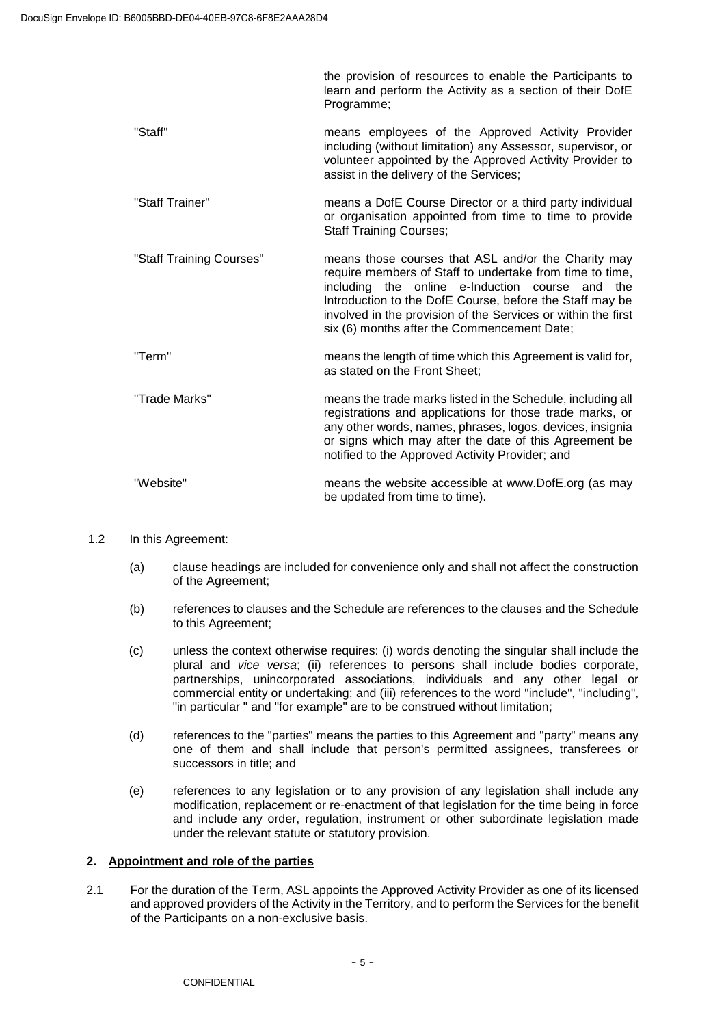learn and perform the Activity as a section of their DofE Programme; "Staff" means employees of the Approved Activity Provider including (without limitation) any Assessor, supervisor, or volunteer appointed by the Approved Activity Provider to assist in the delivery of the Services; "Staff Trainer" means a DofE Course Director or a third party individual or organisation appointed from time to time to provide Staff Training Courses; "Staff Training Courses" means those courses that ASL and/or the Charity may require members of Staff to undertake from time to time. including the online e-Induction course and the Introduction to the DofE Course, before the Staff may be involved in the provision of the Services or within the first six (6) months after the Commencement Date; "Term" means the length of time which this Agreement is valid for, as stated on the Front Sheet; "Trade Marks" means the trade marks listed in the Schedule, including all registrations and applications for those trade marks, or any other words, names, phrases, logos, devices, insignia or signs which may after the date of this Agreement be notified to the Approved Activity Provider; and "Website" means the website accessible at www.DofE.org (as may be updated from time to time).

the provision of resources to enable the Participants to

#### 1.2 In this Agreement:

- (a) clause headings are included for convenience only and shall not affect the construction of the Agreement;
- (b) references to clauses and the Schedule are references to the clauses and the Schedule to this Agreement;
- (c) unless the context otherwise requires: (i) words denoting the singular shall include the plural and *vice versa*; (ii) references to persons shall include bodies corporate, partnerships, unincorporated associations, individuals and any other legal or commercial entity or undertaking; and (iii) references to the word "include", "including", "in particular " and "for example" are to be construed without limitation;
- (d) references to the "parties" means the parties to this Agreement and "party" means any one of them and shall include that person's permitted assignees, transferees or successors in title; and
- (e) references to any legislation or to any provision of any legislation shall include any modification, replacement or re-enactment of that legislation for the time being in force and include any order, regulation, instrument or other subordinate legislation made under the relevant statute or statutory provision.

### **2. Appointment and role of the parties**

2.1 For the duration of the Term, ASL appoints the Approved Activity Provider as one of its licensed and approved providers of the Activity in the Territory, and to perform the Services for the benefit of the Participants on a non-exclusive basis.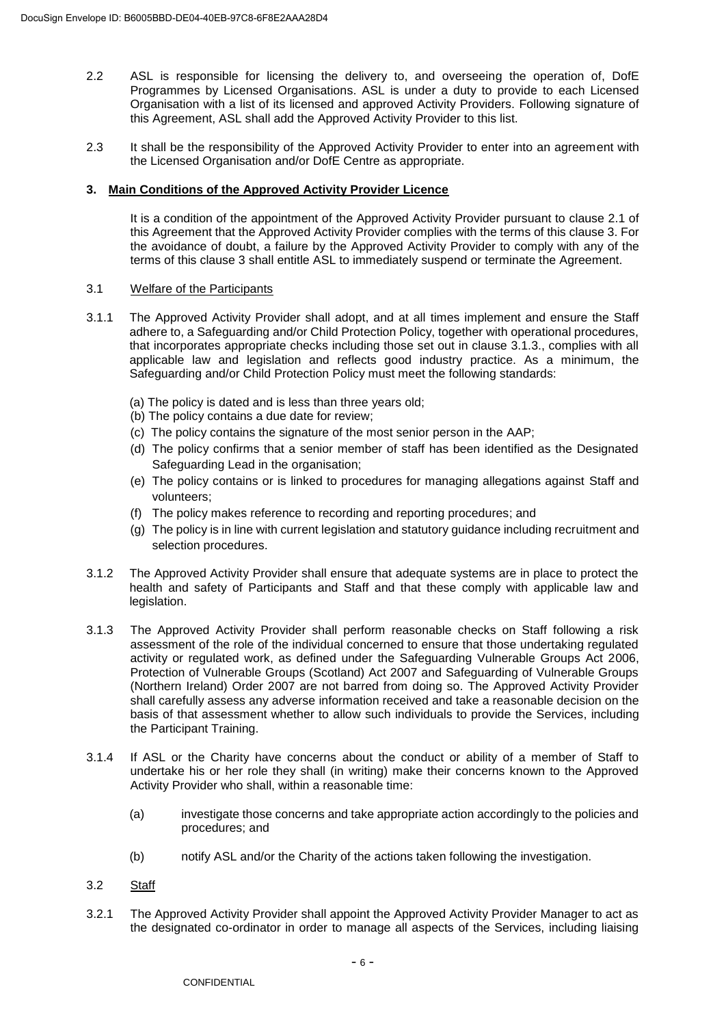- 2.2 ASL is responsible for licensing the delivery to, and overseeing the operation of, DofE Programmes by Licensed Organisations. ASL is under a duty to provide to each Licensed Organisation with a list of its licensed and approved Activity Providers. Following signature of this Agreement, ASL shall add the Approved Activity Provider to this list.
- 2.3 It shall be the responsibility of the Approved Activity Provider to enter into an agreement with the Licensed Organisation and/or DofE Centre as appropriate.

## **3. Main Conditions of the Approved Activity Provider Licence**

It is a condition of the appointment of the Approved Activity Provider pursuant to clause 2.1 of this Agreement that the Approved Activity Provider complies with the terms of this clause 3. For the avoidance of doubt, a failure by the Approved Activity Provider to comply with any of the terms of this clause 3 shall entitle ASL to immediately suspend or terminate the Agreement.

## 3.1 Welfare of the Participants

- 3.1.1 The Approved Activity Provider shall adopt, and at all times implement and ensure the Staff adhere to, a Safeguarding and/or Child Protection Policy, together with operational procedures, that incorporates appropriate checks including those set out in clause 3.1.3., complies with all applicable law and legislation and reflects good industry practice. As a minimum, the Safeguarding and/or Child Protection Policy must meet the following standards:
	- (a) The policy is dated and is less than three years old;
	- (b) The policy contains a due date for review;
	- (c) The policy contains the signature of the most senior person in the AAP;
	- (d) The policy confirms that a senior member of staff has been identified as the Designated Safeguarding Lead in the organisation;
	- (e) The policy contains or is linked to procedures for managing allegations against Staff and volunteers;
	- (f) The policy makes reference to recording and reporting procedures; and
	- (g) The policy is in line with current legislation and statutory guidance including recruitment and selection procedures.
- 3.1.2 The Approved Activity Provider shall ensure that adequate systems are in place to protect the health and safety of Participants and Staff and that these comply with applicable law and legislation.
- 3.1.3 The Approved Activity Provider shall perform reasonable checks on Staff following a risk assessment of the role of the individual concerned to ensure that those undertaking regulated activity or regulated work, as defined under the Safeguarding Vulnerable Groups Act 2006, Protection of Vulnerable Groups (Scotland) Act 2007 and Safeguarding of Vulnerable Groups (Northern Ireland) Order 2007 are not barred from doing so. The Approved Activity Provider shall carefully assess any adverse information received and take a reasonable decision on the basis of that assessment whether to allow such individuals to provide the Services, including the Participant Training.
- 3.1.4 If ASL or the Charity have concerns about the conduct or ability of a member of Staff to undertake his or her role they shall (in writing) make their concerns known to the Approved Activity Provider who shall, within a reasonable time:
	- (a) investigate those concerns and take appropriate action accordingly to the policies and procedures; and
	- (b) notify ASL and/or the Charity of the actions taken following the investigation.
- 3.2 Staff
- 3.2.1 The Approved Activity Provider shall appoint the Approved Activity Provider Manager to act as the designated co-ordinator in order to manage all aspects of the Services, including liaising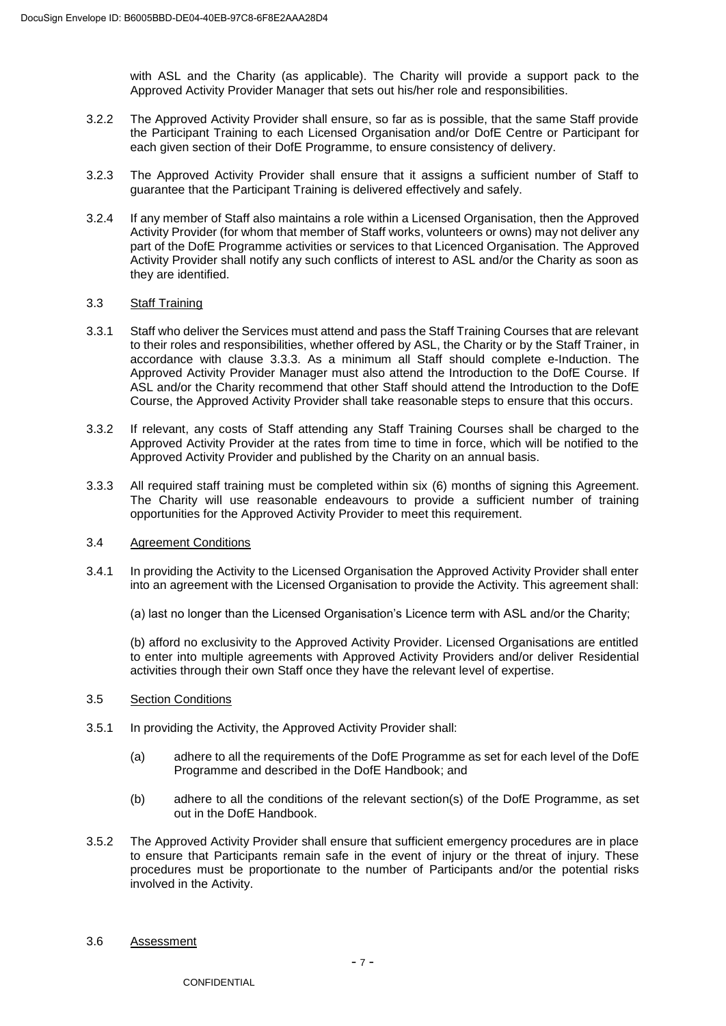with ASL and the Charity (as applicable). The Charity will provide a support pack to the Approved Activity Provider Manager that sets out his/her role and responsibilities.

- 3.2.2 The Approved Activity Provider shall ensure, so far as is possible, that the same Staff provide the Participant Training to each Licensed Organisation and/or DofE Centre or Participant for each given section of their DofE Programme, to ensure consistency of delivery.
- 3.2.3 The Approved Activity Provider shall ensure that it assigns a sufficient number of Staff to guarantee that the Participant Training is delivered effectively and safely.
- 3.2.4 If any member of Staff also maintains a role within a Licensed Organisation, then the Approved Activity Provider (for whom that member of Staff works, volunteers or owns) may not deliver any part of the DofE Programme activities or services to that Licenced Organisation. The Approved Activity Provider shall notify any such conflicts of interest to ASL and/or the Charity as soon as they are identified.

### 3.3 Staff Training

- 3.3.1 Staff who deliver the Services must attend and pass the Staff Training Courses that are relevant to their roles and responsibilities, whether offered by ASL, the Charity or by the Staff Trainer, in accordance with clause 3.3.3. As a minimum all Staff should complete e-Induction. The Approved Activity Provider Manager must also attend the Introduction to the DofE Course. If ASL and/or the Charity recommend that other Staff should attend the Introduction to the DofE Course, the Approved Activity Provider shall take reasonable steps to ensure that this occurs.
- 3.3.2 If relevant, any costs of Staff attending any Staff Training Courses shall be charged to the Approved Activity Provider at the rates from time to time in force, which will be notified to the Approved Activity Provider and published by the Charity on an annual basis.
- 3.3.3 All required staff training must be completed within six (6) months of signing this Agreement. The Charity will use reasonable endeavours to provide a sufficient number of training opportunities for the Approved Activity Provider to meet this requirement.

### 3.4 Agreement Conditions

3.4.1 In providing the Activity to the Licensed Organisation the Approved Activity Provider shall enter into an agreement with the Licensed Organisation to provide the Activity. This agreement shall:

(a) last no longer than the Licensed Organisation's Licence term with ASL and/or the Charity;

(b) afford no exclusivity to the Approved Activity Provider. Licensed Organisations are entitled to enter into multiple agreements with Approved Activity Providers and/or deliver Residential activities through their own Staff once they have the relevant level of expertise.

### 3.5 Section Conditions

- 3.5.1 In providing the Activity, the Approved Activity Provider shall:
	- (a) adhere to all the requirements of the DofE Programme as set for each level of the DofE Programme and described in the DofE Handbook; and
	- (b) adhere to all the conditions of the relevant section(s) of the DofE Programme, as set out in the DofE Handbook.
- 3.5.2 The Approved Activity Provider shall ensure that sufficient emergency procedures are in place to ensure that Participants remain safe in the event of injury or the threat of injury. These procedures must be proportionate to the number of Participants and/or the potential risks involved in the Activity.
- 3.6 Assessment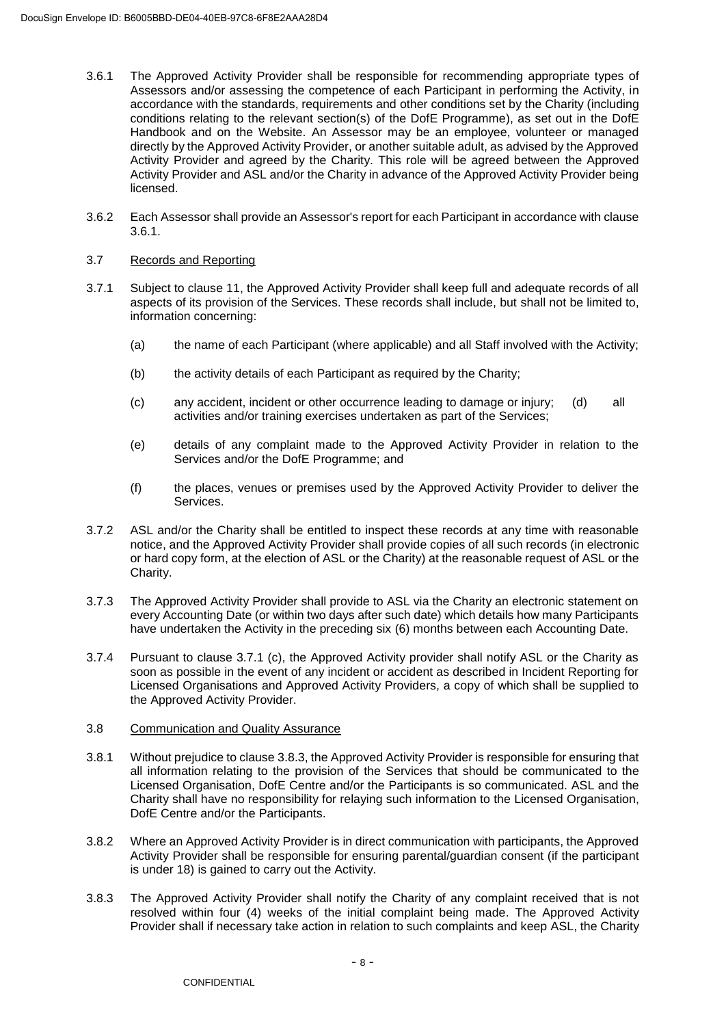- 3.6.1 The Approved Activity Provider shall be responsible for recommending appropriate types of Assessors and/or assessing the competence of each Participant in performing the Activity, in accordance with the standards, requirements and other conditions set by the Charity (including conditions relating to the relevant section(s) of the DofE Programme), as set out in the DofE Handbook and on the Website. An Assessor may be an employee, volunteer or managed directly by the Approved Activity Provider, or another suitable adult, as advised by the Approved Activity Provider and agreed by the Charity. This role will be agreed between the Approved Activity Provider and ASL and/or the Charity in advance of the Approved Activity Provider being licensed.
- 3.6.2 Each Assessor shall provide an Assessor's report for each Participant in accordance with clause 3.6.1.

## 3.7 Records and Reporting

- 3.7.1 Subject to clause 11, the Approved Activity Provider shall keep full and adequate records of all aspects of its provision of the Services. These records shall include, but shall not be limited to, information concerning:
	- (a) the name of each Participant (where applicable) and all Staff involved with the Activity;
	- (b) the activity details of each Participant as required by the Charity;
	- (c) any accident, incident or other occurrence leading to damage or injury; (d) all activities and/or training exercises undertaken as part of the Services;
	- (e) details of any complaint made to the Approved Activity Provider in relation to the Services and/or the DofE Programme; and
	- (f) the places, venues or premises used by the Approved Activity Provider to deliver the Services.
- 3.7.2 ASL and/or the Charity shall be entitled to inspect these records at any time with reasonable notice, and the Approved Activity Provider shall provide copies of all such records (in electronic or hard copy form, at the election of ASL or the Charity) at the reasonable request of ASL or the Charity.
- 3.7.3 The Approved Activity Provider shall provide to ASL via the Charity an electronic statement on every Accounting Date (or within two days after such date) which details how many Participants have undertaken the Activity in the preceding six (6) months between each Accounting Date.
- 3.7.4 Pursuant to clause 3.7.1 (c), the Approved Activity provider shall notify ASL or the Charity as soon as possible in the event of any incident or accident as described in Incident Reporting for Licensed Organisations and Approved Activity Providers, a copy of which shall be supplied to the Approved Activity Provider.

### 3.8 Communication and Quality Assurance

- 3.8.1 Without prejudice to clause 3.8.3, the Approved Activity Provider is responsible for ensuring that all information relating to the provision of the Services that should be communicated to the Licensed Organisation, DofE Centre and/or the Participants is so communicated. ASL and the Charity shall have no responsibility for relaying such information to the Licensed Organisation, DofE Centre and/or the Participants.
- 3.8.2 Where an Approved Activity Provider is in direct communication with participants, the Approved Activity Provider shall be responsible for ensuring parental/guardian consent (if the participant is under 18) is gained to carry out the Activity.
- 3.8.3 The Approved Activity Provider shall notify the Charity of any complaint received that is not resolved within four (4) weeks of the initial complaint being made. The Approved Activity Provider shall if necessary take action in relation to such complaints and keep ASL, the Charity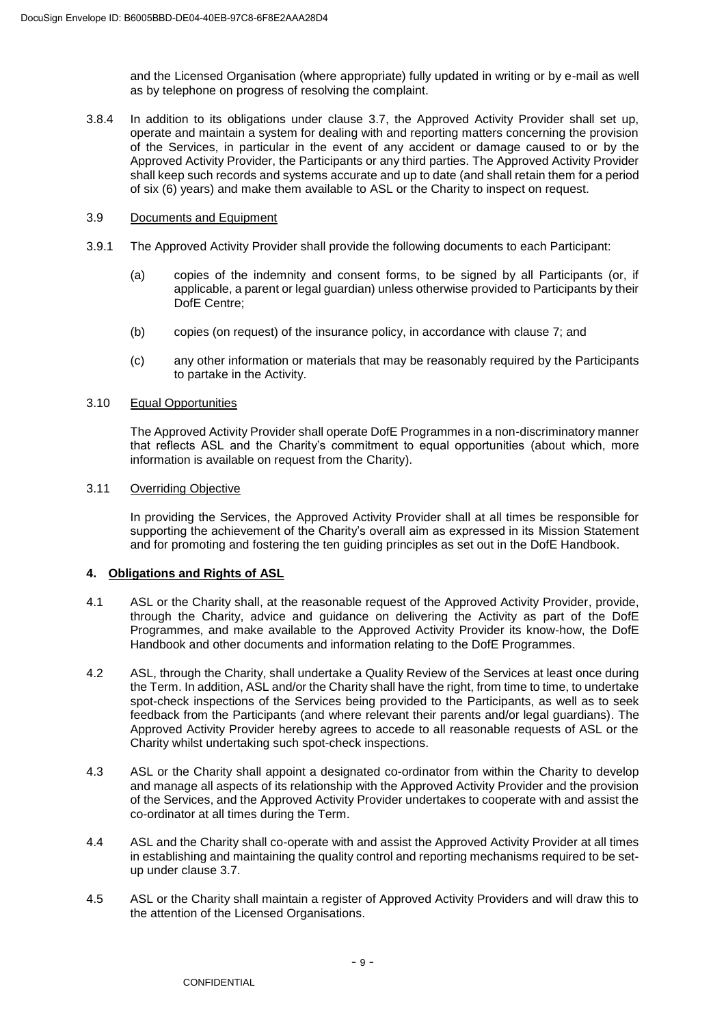and the Licensed Organisation (where appropriate) fully updated in writing or by e-mail as well as by telephone on progress of resolving the complaint.

- 3.8.4 In addition to its obligations under clause 3.7, the Approved Activity Provider shall set up, operate and maintain a system for dealing with and reporting matters concerning the provision of the Services, in particular in the event of any accident or damage caused to or by the Approved Activity Provider, the Participants or any third parties. The Approved Activity Provider shall keep such records and systems accurate and up to date (and shall retain them for a period of six (6) years) and make them available to ASL or the Charity to inspect on request.
- 3.9 Documents and Equipment
- 3.9.1 The Approved Activity Provider shall provide the following documents to each Participant:
	- (a) copies of the indemnity and consent forms, to be signed by all Participants (or, if applicable, a parent or legal guardian) unless otherwise provided to Participants by their DofE Centre:
	- (b) copies (on request) of the insurance policy, in accordance with clause 7; and
	- (c) any other information or materials that may be reasonably required by the Participants to partake in the Activity.

## 3.10 Equal Opportunities

The Approved Activity Provider shall operate DofE Programmes in a non-discriminatory manner that reflects ASL and the Charity's commitment to equal opportunities (about which, more information is available on request from the Charity).

# 3.11 Overriding Objective

In providing the Services, the Approved Activity Provider shall at all times be responsible for supporting the achievement of the Charity's overall aim as expressed in its Mission Statement and for promoting and fostering the ten guiding principles as set out in the DofE Handbook.

# **4. Obligations and Rights of ASL**

- 4.1 ASL or the Charity shall, at the reasonable request of the Approved Activity Provider, provide, through the Charity, advice and guidance on delivering the Activity as part of the DofE Programmes, and make available to the Approved Activity Provider its know-how, the DofE Handbook and other documents and information relating to the DofE Programmes.
- 4.2 ASL, through the Charity, shall undertake a Quality Review of the Services at least once during the Term. In addition, ASL and/or the Charity shall have the right, from time to time, to undertake spot-check inspections of the Services being provided to the Participants, as well as to seek feedback from the Participants (and where relevant their parents and/or legal guardians). The Approved Activity Provider hereby agrees to accede to all reasonable requests of ASL or the Charity whilst undertaking such spot-check inspections.
- 4.3 ASL or the Charity shall appoint a designated co-ordinator from within the Charity to develop and manage all aspects of its relationship with the Approved Activity Provider and the provision of the Services, and the Approved Activity Provider undertakes to cooperate with and assist the co-ordinator at all times during the Term.
- 4.4 ASL and the Charity shall co-operate with and assist the Approved Activity Provider at all times in establishing and maintaining the quality control and reporting mechanisms required to be setup under clause 3.7.
- 4.5 ASL or the Charity shall maintain a register of Approved Activity Providers and will draw this to the attention of the Licensed Organisations.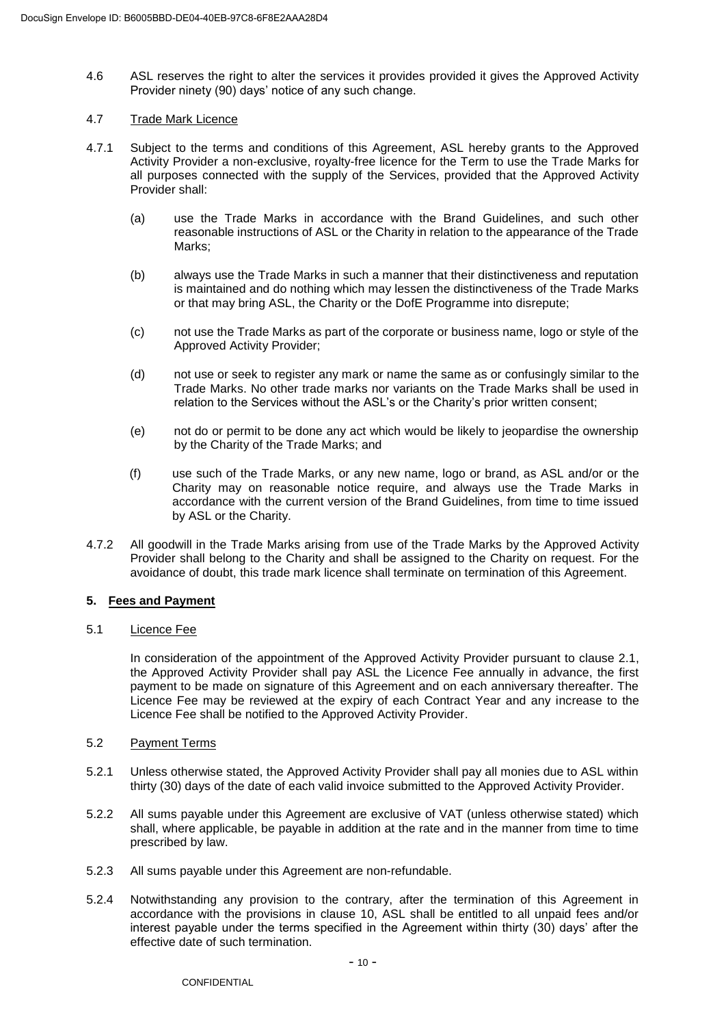4.6 ASL reserves the right to alter the services it provides provided it gives the Approved Activity Provider ninety (90) days' notice of any such change.

# 4.7 Trade Mark Licence

- 4.7.1 Subject to the terms and conditions of this Agreement, ASL hereby grants to the Approved Activity Provider a non-exclusive, royalty-free licence for the Term to use the Trade Marks for all purposes connected with the supply of the Services, provided that the Approved Activity Provider shall:
	- (a) use the Trade Marks in accordance with the Brand Guidelines, and such other reasonable instructions of ASL or the Charity in relation to the appearance of the Trade Marks;
	- (b) always use the Trade Marks in such a manner that their distinctiveness and reputation is maintained and do nothing which may lessen the distinctiveness of the Trade Marks or that may bring ASL, the Charity or the DofE Programme into disrepute;
	- (c) not use the Trade Marks as part of the corporate or business name, logo or style of the Approved Activity Provider;
	- (d) not use or seek to register any mark or name the same as or confusingly similar to the Trade Marks. No other trade marks nor variants on the Trade Marks shall be used in relation to the Services without the ASL's or the Charity's prior written consent;
	- (e) not do or permit to be done any act which would be likely to jeopardise the ownership by the Charity of the Trade Marks; and
	- (f) use such of the Trade Marks, or any new name, logo or brand, as ASL and/or or the Charity may on reasonable notice require, and always use the Trade Marks in accordance with the current version of the Brand Guidelines, from time to time issued by ASL or the Charity.
- 4.7.2 All goodwill in the Trade Marks arising from use of the Trade Marks by the Approved Activity Provider shall belong to the Charity and shall be assigned to the Charity on request. For the avoidance of doubt, this trade mark licence shall terminate on termination of this Agreement.

# **5. Fees and Payment**

### 5.1 Licence Fee

In consideration of the appointment of the Approved Activity Provider pursuant to clause 2.1, the Approved Activity Provider shall pay ASL the Licence Fee annually in advance, the first payment to be made on signature of this Agreement and on each anniversary thereafter. The Licence Fee may be reviewed at the expiry of each Contract Year and any increase to the Licence Fee shall be notified to the Approved Activity Provider.

### 5.2 Payment Terms

- 5.2.1 Unless otherwise stated, the Approved Activity Provider shall pay all monies due to ASL within thirty (30) days of the date of each valid invoice submitted to the Approved Activity Provider.
- 5.2.2 All sums payable under this Agreement are exclusive of VAT (unless otherwise stated) which shall, where applicable, be payable in addition at the rate and in the manner from time to time prescribed by law.
- 5.2.3 All sums payable under this Agreement are non-refundable.
- 5.2.4 Notwithstanding any provision to the contrary, after the termination of this Agreement in accordance with the provisions in clause 10, ASL shall be entitled to all unpaid fees and/or interest payable under the terms specified in the Agreement within thirty (30) days' after the effective date of such termination.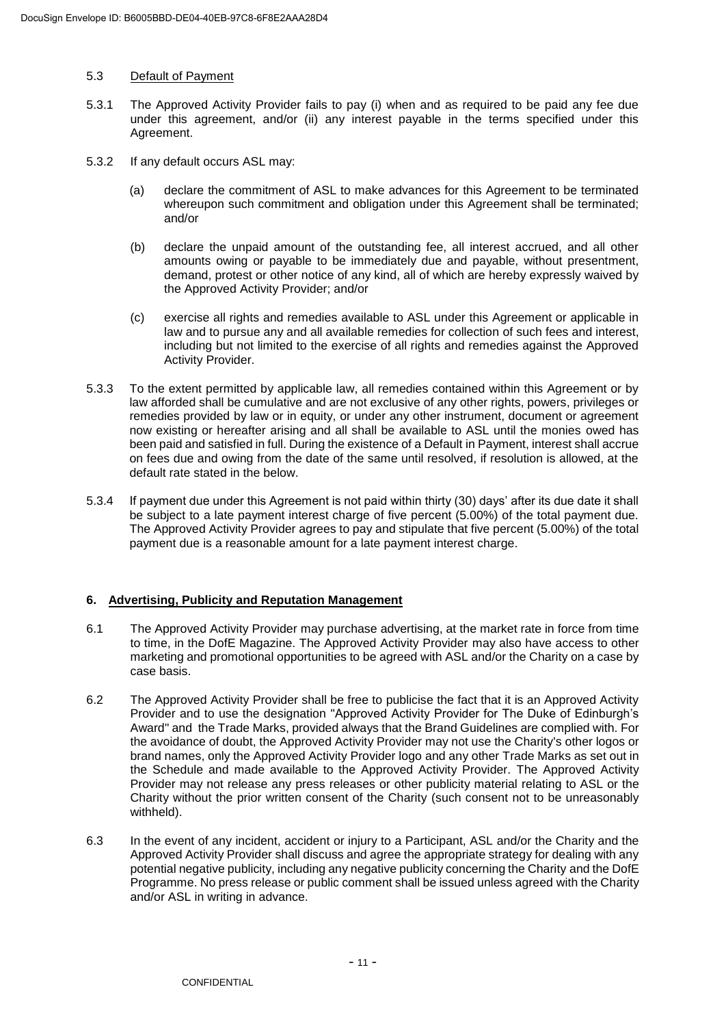### 5.3 Default of Payment

- 5.3.1 The Approved Activity Provider fails to pay (i) when and as required to be paid any fee due under this agreement, and/or (ii) any interest payable in the terms specified under this Agreement.
- 5.3.2 If any default occurs ASL may:
	- (a) declare the commitment of ASL to make advances for this Agreement to be terminated whereupon such commitment and obligation under this Agreement shall be terminated; and/or
	- (b) declare the unpaid amount of the outstanding fee, all interest accrued, and all other amounts owing or payable to be immediately due and payable, without presentment, demand, protest or other notice of any kind, all of which are hereby expressly waived by the Approved Activity Provider; and/or
	- (c) exercise all rights and remedies available to ASL under this Agreement or applicable in law and to pursue any and all available remedies for collection of such fees and interest, including but not limited to the exercise of all rights and remedies against the Approved Activity Provider.
- 5.3.3 To the extent permitted by applicable law, all remedies contained within this Agreement or by law afforded shall be cumulative and are not exclusive of any other rights, powers, privileges or remedies provided by law or in equity, or under any other instrument, document or agreement now existing or hereafter arising and all shall be available to ASL until the monies owed has been paid and satisfied in full. During the existence of a Default in Payment, interest shall accrue on fees due and owing from the date of the same until resolved, if resolution is allowed, at the default rate stated in the below.
- 5.3.4 If payment due under this Agreement is not paid within thirty (30) days' after its due date it shall be subject to a late payment interest charge of five percent (5.00%) of the total payment due. The Approved Activity Provider agrees to pay and stipulate that five percent (5.00%) of the total payment due is a reasonable amount for a late payment interest charge.

# **6. Advertising, Publicity and Reputation Management**

- 6.1 The Approved Activity Provider may purchase advertising, at the market rate in force from time to time, in the DofE Magazine. The Approved Activity Provider may also have access to other marketing and promotional opportunities to be agreed with ASL and/or the Charity on a case by case basis.
- 6.2 The Approved Activity Provider shall be free to publicise the fact that it is an Approved Activity Provider and to use the designation "Approved Activity Provider for The Duke of Edinburgh's Award" and the Trade Marks, provided always that the Brand Guidelines are complied with. For the avoidance of doubt, the Approved Activity Provider may not use the Charity's other logos or brand names, only the Approved Activity Provider logo and any other Trade Marks as set out in the Schedule and made available to the Approved Activity Provider. The Approved Activity Provider may not release any press releases or other publicity material relating to ASL or the Charity without the prior written consent of the Charity (such consent not to be unreasonably withheld).
- 6.3 In the event of any incident, accident or injury to a Participant, ASL and/or the Charity and the Approved Activity Provider shall discuss and agree the appropriate strategy for dealing with any potential negative publicity, including any negative publicity concerning the Charity and the DofE Programme. No press release or public comment shall be issued unless agreed with the Charity and/or ASL in writing in advance.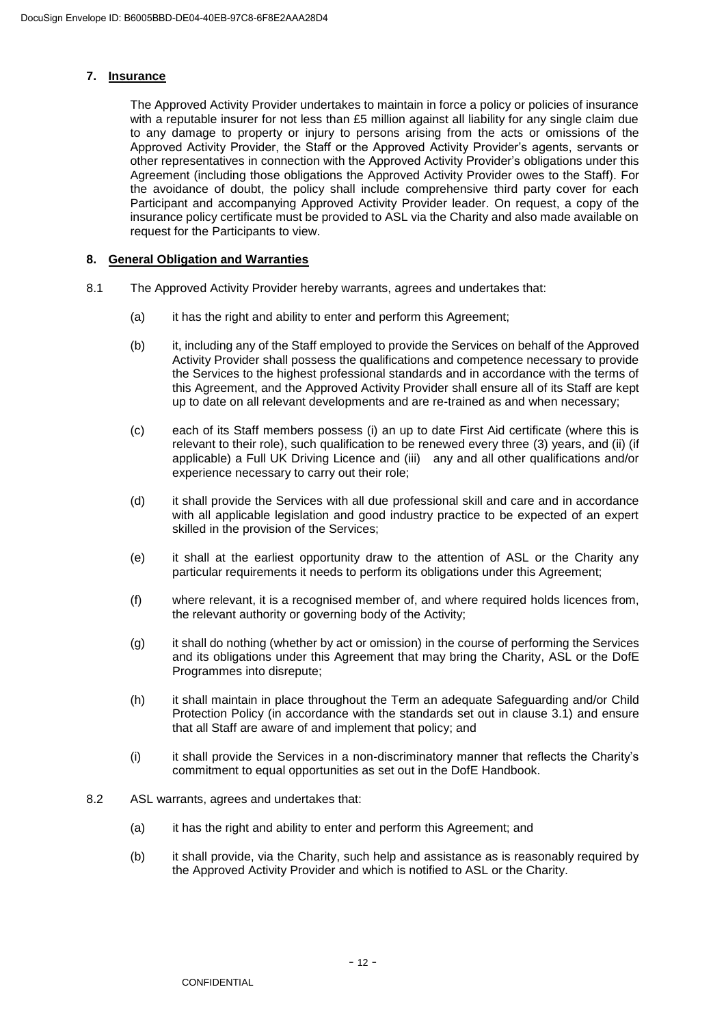### **7. Insurance**

The Approved Activity Provider undertakes to maintain in force a policy or policies of insurance with a reputable insurer for not less than £5 million against all liability for any single claim due to any damage to property or injury to persons arising from the acts or omissions of the Approved Activity Provider, the Staff or the Approved Activity Provider's agents, servants or other representatives in connection with the Approved Activity Provider's obligations under this Agreement (including those obligations the Approved Activity Provider owes to the Staff). For the avoidance of doubt, the policy shall include comprehensive third party cover for each Participant and accompanying Approved Activity Provider leader. On request, a copy of the insurance policy certificate must be provided to ASL via the Charity and also made available on request for the Participants to view.

# **8. General Obligation and Warranties**

- 8.1 The Approved Activity Provider hereby warrants, agrees and undertakes that:
	- (a) it has the right and ability to enter and perform this Agreement;
	- (b) it, including any of the Staff employed to provide the Services on behalf of the Approved Activity Provider shall possess the qualifications and competence necessary to provide the Services to the highest professional standards and in accordance with the terms of this Agreement, and the Approved Activity Provider shall ensure all of its Staff are kept up to date on all relevant developments and are re-trained as and when necessary;
	- (c) each of its Staff members possess (i) an up to date First Aid certificate (where this is relevant to their role), such qualification to be renewed every three (3) years, and (ii) (if applicable) a Full UK Driving Licence and (iii) any and all other qualifications and/or experience necessary to carry out their role;
	- (d) it shall provide the Services with all due professional skill and care and in accordance with all applicable legislation and good industry practice to be expected of an expert skilled in the provision of the Services;
	- (e) it shall at the earliest opportunity draw to the attention of ASL or the Charity any particular requirements it needs to perform its obligations under this Agreement;
	- (f) where relevant, it is a recognised member of, and where required holds licences from, the relevant authority or governing body of the Activity;
	- (g) it shall do nothing (whether by act or omission) in the course of performing the Services and its obligations under this Agreement that may bring the Charity, ASL or the DofE Programmes into disrepute;
	- (h) it shall maintain in place throughout the Term an adequate Safeguarding and/or Child Protection Policy (in accordance with the standards set out in clause 3.1) and ensure that all Staff are aware of and implement that policy; and
	- (i) it shall provide the Services in a non-discriminatory manner that reflects the Charity's commitment to equal opportunities as set out in the DofE Handbook.
- 8.2 ASL warrants, agrees and undertakes that:
	- (a) it has the right and ability to enter and perform this Agreement; and
	- (b) it shall provide, via the Charity, such help and assistance as is reasonably required by the Approved Activity Provider and which is notified to ASL or the Charity.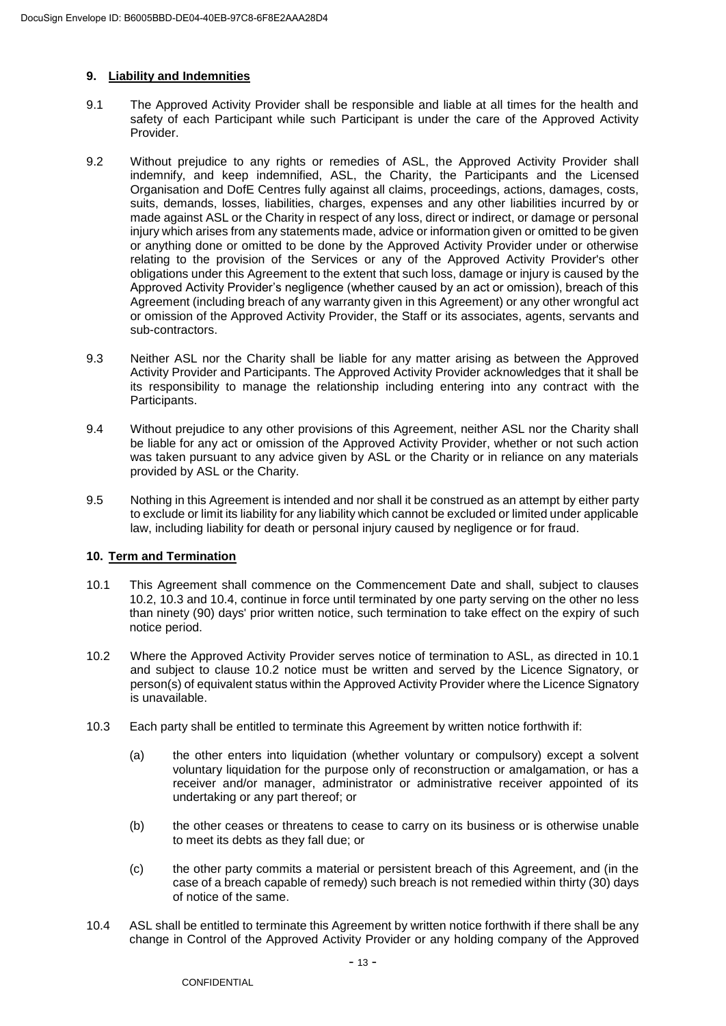# **9. Liability and Indemnities**

- 9.1 The Approved Activity Provider shall be responsible and liable at all times for the health and safety of each Participant while such Participant is under the care of the Approved Activity **Provider**
- 9.2 Without prejudice to any rights or remedies of ASL, the Approved Activity Provider shall indemnify, and keep indemnified, ASL, the Charity, the Participants and the Licensed Organisation and DofE Centres fully against all claims, proceedings, actions, damages, costs, suits, demands, losses, liabilities, charges, expenses and any other liabilities incurred by or made against ASL or the Charity in respect of any loss, direct or indirect, or damage or personal injury which arises from any statements made, advice or information given or omitted to be given or anything done or omitted to be done by the Approved Activity Provider under or otherwise relating to the provision of the Services or any of the Approved Activity Provider's other obligations under this Agreement to the extent that such loss, damage or injury is caused by the Approved Activity Provider's negligence (whether caused by an act or omission), breach of this Agreement (including breach of any warranty given in this Agreement) or any other wrongful act or omission of the Approved Activity Provider, the Staff or its associates, agents, servants and sub-contractors.
- 9.3 Neither ASL nor the Charity shall be liable for any matter arising as between the Approved Activity Provider and Participants. The Approved Activity Provider acknowledges that it shall be its responsibility to manage the relationship including entering into any contract with the Participants.
- 9.4 Without prejudice to any other provisions of this Agreement, neither ASL nor the Charity shall be liable for any act or omission of the Approved Activity Provider, whether or not such action was taken pursuant to any advice given by ASL or the Charity or in reliance on any materials provided by ASL or the Charity.
- 9.5 Nothing in this Agreement is intended and nor shall it be construed as an attempt by either party to exclude or limit its liability for any liability which cannot be excluded or limited under applicable law, including liability for death or personal injury caused by negligence or for fraud.

### **10. Term and Termination**

- 10.1 This Agreement shall commence on the Commencement Date and shall, subject to clauses 10.2, 10.3 and 10.4, continue in force until terminated by one party serving on the other no less than ninety (90) days' prior written notice, such termination to take effect on the expiry of such notice period.
- 10.2 Where the Approved Activity Provider serves notice of termination to ASL, as directed in 10.1 and subject to clause 10.2 notice must be written and served by the Licence Signatory, or person(s) of equivalent status within the Approved Activity Provider where the Licence Signatory is unavailable.
- 10.3 Each party shall be entitled to terminate this Agreement by written notice forthwith if:
	- (a) the other enters into liquidation (whether voluntary or compulsory) except a solvent voluntary liquidation for the purpose only of reconstruction or amalgamation, or has a receiver and/or manager, administrator or administrative receiver appointed of its undertaking or any part thereof; or
	- (b) the other ceases or threatens to cease to carry on its business or is otherwise unable to meet its debts as they fall due; or
	- (c) the other party commits a material or persistent breach of this Agreement, and (in the case of a breach capable of remedy) such breach is not remedied within thirty (30) days of notice of the same.
- 10.4 ASL shall be entitled to terminate this Agreement by written notice forthwith if there shall be any change in Control of the Approved Activity Provider or any holding company of the Approved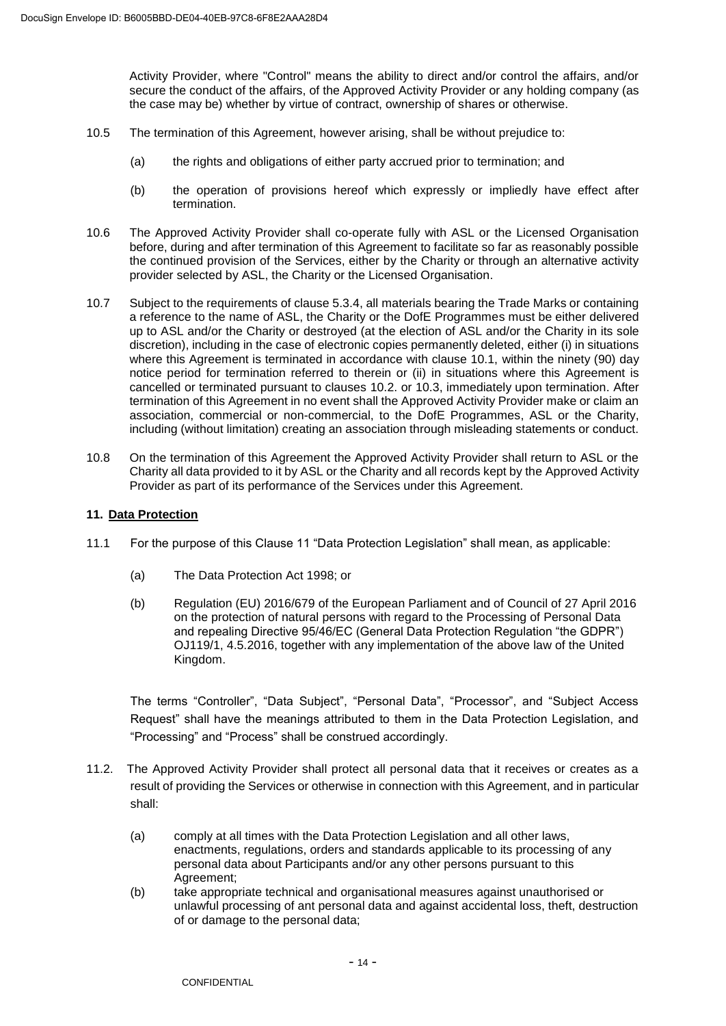Activity Provider, where "Control" means the ability to direct and/or control the affairs, and/or secure the conduct of the affairs, of the Approved Activity Provider or any holding company (as the case may be) whether by virtue of contract, ownership of shares or otherwise.

- 10.5 The termination of this Agreement, however arising, shall be without prejudice to:
	- (a) the rights and obligations of either party accrued prior to termination; and
	- (b) the operation of provisions hereof which expressly or impliedly have effect after termination.
- 10.6 The Approved Activity Provider shall co-operate fully with ASL or the Licensed Organisation before, during and after termination of this Agreement to facilitate so far as reasonably possible the continued provision of the Services, either by the Charity or through an alternative activity provider selected by ASL, the Charity or the Licensed Organisation.
- 10.7 Subject to the requirements of clause 5.3.4, all materials bearing the Trade Marks or containing a reference to the name of ASL, the Charity or the DofE Programmes must be either delivered up to ASL and/or the Charity or destroyed (at the election of ASL and/or the Charity in its sole discretion), including in the case of electronic copies permanently deleted, either (i) in situations where this Agreement is terminated in accordance with clause 10.1, within the ninety (90) day notice period for termination referred to therein or (ii) in situations where this Agreement is cancelled or terminated pursuant to clauses 10.2. or 10.3, immediately upon termination. After termination of this Agreement in no event shall the Approved Activity Provider make or claim an association, commercial or non-commercial, to the DofE Programmes, ASL or the Charity, including (without limitation) creating an association through misleading statements or conduct.
- 10.8 On the termination of this Agreement the Approved Activity Provider shall return to ASL or the Charity all data provided to it by ASL or the Charity and all records kept by the Approved Activity Provider as part of its performance of the Services under this Agreement.

### **11. Data Protection**

- 11.1 For the purpose of this Clause 11 "Data Protection Legislation" shall mean, as applicable:
	- (a) The Data Protection Act 1998; or
	- (b) Regulation (EU) 2016/679 of the European Parliament and of Council of 27 April 2016 on the protection of natural persons with regard to the Processing of Personal Data and repealing Directive 95/46/EC (General Data Protection Regulation "the GDPR") OJ119/1, 4.5.2016, together with any implementation of the above law of the United Kingdom.

The terms "Controller", "Data Subject", "Personal Data", "Processor", and "Subject Access Request" shall have the meanings attributed to them in the Data Protection Legislation, and "Processing" and "Process" shall be construed accordingly.

- 11.2. The Approved Activity Provider shall protect all personal data that it receives or creates as a result of providing the Services or otherwise in connection with this Agreement, and in particular shall:
	- (a) comply at all times with the Data Protection Legislation and all other laws, enactments, regulations, orders and standards applicable to its processing of any personal data about Participants and/or any other persons pursuant to this Agreement;
	- (b) take appropriate technical and organisational measures against unauthorised or unlawful processing of ant personal data and against accidental loss, theft, destruction of or damage to the personal data;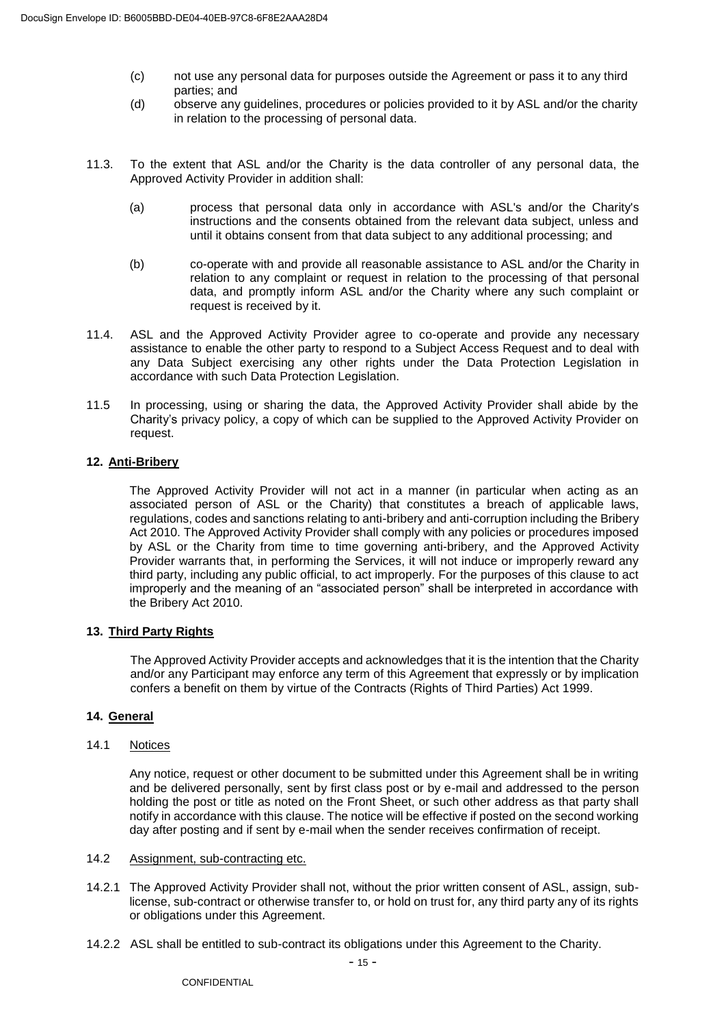- (c) not use any personal data for purposes outside the Agreement or pass it to any third parties; and
- (d) observe any guidelines, procedures or policies provided to it by ASL and/or the charity in relation to the processing of personal data.
- 11.3. To the extent that ASL and/or the Charity is the data controller of any personal data, the Approved Activity Provider in addition shall:
	- (a) process that personal data only in accordance with ASL's and/or the Charity's instructions and the consents obtained from the relevant data subject, unless and until it obtains consent from that data subject to any additional processing; and
	- (b) co-operate with and provide all reasonable assistance to ASL and/or the Charity in relation to any complaint or request in relation to the processing of that personal data, and promptly inform ASL and/or the Charity where any such complaint or request is received by it.
- 11.4. ASL and the Approved Activity Provider agree to co-operate and provide any necessary assistance to enable the other party to respond to a Subject Access Request and to deal with any Data Subject exercising any other rights under the Data Protection Legislation in accordance with such Data Protection Legislation.
- 11.5 In processing, using or sharing the data, the Approved Activity Provider shall abide by the Charity's privacy policy, a copy of which can be supplied to the Approved Activity Provider on request.

# **12. Anti-Bribery**

The Approved Activity Provider will not act in a manner (in particular when acting as an associated person of ASL or the Charity) that constitutes a breach of applicable laws, regulations, codes and sanctions relating to anti-bribery and anti-corruption including the Bribery Act 2010. The Approved Activity Provider shall comply with any policies or procedures imposed by ASL or the Charity from time to time governing anti-bribery, and the Approved Activity Provider warrants that, in performing the Services, it will not induce or improperly reward any third party, including any public official, to act improperly. For the purposes of this clause to act improperly and the meaning of an "associated person" shall be interpreted in accordance with the Bribery Act 2010.

### **13. Third Party Rights**

The Approved Activity Provider accepts and acknowledges that it is the intention that the Charity and/or any Participant may enforce any term of this Agreement that expressly or by implication confers a benefit on them by virtue of the Contracts (Rights of Third Parties) Act 1999.

### **14. General**

# 14.1 Notices

Any notice, request or other document to be submitted under this Agreement shall be in writing and be delivered personally, sent by first class post or by e-mail and addressed to the person holding the post or title as noted on the Front Sheet, or such other address as that party shall notify in accordance with this clause. The notice will be effective if posted on the second working day after posting and if sent by e-mail when the sender receives confirmation of receipt.

- 14.2 Assignment, sub-contracting etc.
- 14.2.1 The Approved Activity Provider shall not, without the prior written consent of ASL, assign, sublicense, sub-contract or otherwise transfer to, or hold on trust for, any third party any of its rights or obligations under this Agreement.
- 14.2.2 ASL shall be entitled to sub-contract its obligations under this Agreement to the Charity.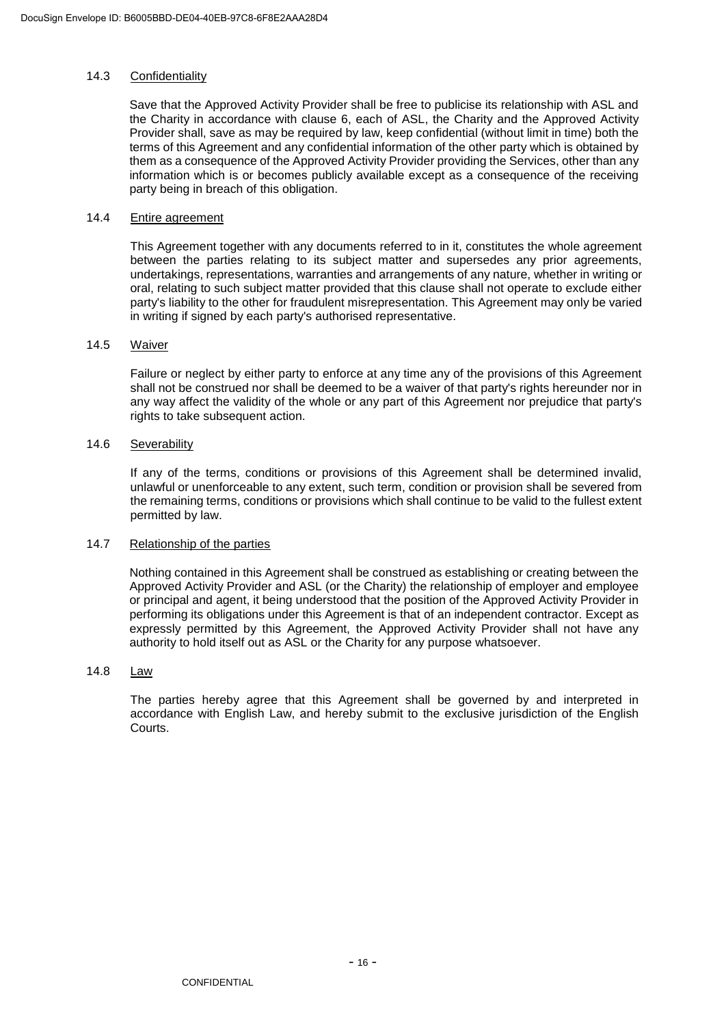### 14.3 Confidentiality

Save that the Approved Activity Provider shall be free to publicise its relationship with ASL and the Charity in accordance with clause 6, each of ASL, the Charity and the Approved Activity Provider shall, save as may be required by law, keep confidential (without limit in time) both the terms of this Agreement and any confidential information of the other party which is obtained by them as a consequence of the Approved Activity Provider providing the Services, other than any information which is or becomes publicly available except as a consequence of the receiving party being in breach of this obligation.

#### 14.4 Entire agreement

This Agreement together with any documents referred to in it, constitutes the whole agreement between the parties relating to its subject matter and supersedes any prior agreements, undertakings, representations, warranties and arrangements of any nature, whether in writing or oral, relating to such subject matter provided that this clause shall not operate to exclude either party's liability to the other for fraudulent misrepresentation. This Agreement may only be varied in writing if signed by each party's authorised representative.

#### 14.5 Waiver

Failure or neglect by either party to enforce at any time any of the provisions of this Agreement shall not be construed nor shall be deemed to be a waiver of that party's rights hereunder nor in any way affect the validity of the whole or any part of this Agreement nor prejudice that party's rights to take subsequent action.

#### 14.6 Severability

If any of the terms, conditions or provisions of this Agreement shall be determined invalid, unlawful or unenforceable to any extent, such term, condition or provision shall be severed from the remaining terms, conditions or provisions which shall continue to be valid to the fullest extent permitted by law.

### 14.7 Relationship of the parties

Nothing contained in this Agreement shall be construed as establishing or creating between the Approved Activity Provider and ASL (or the Charity) the relationship of employer and employee or principal and agent, it being understood that the position of the Approved Activity Provider in performing its obligations under this Agreement is that of an independent contractor. Except as expressly permitted by this Agreement, the Approved Activity Provider shall not have any authority to hold itself out as ASL or the Charity for any purpose whatsoever.

# 14.8 Law

The parties hereby agree that this Agreement shall be governed by and interpreted in accordance with English Law, and hereby submit to the exclusive jurisdiction of the English Courts.